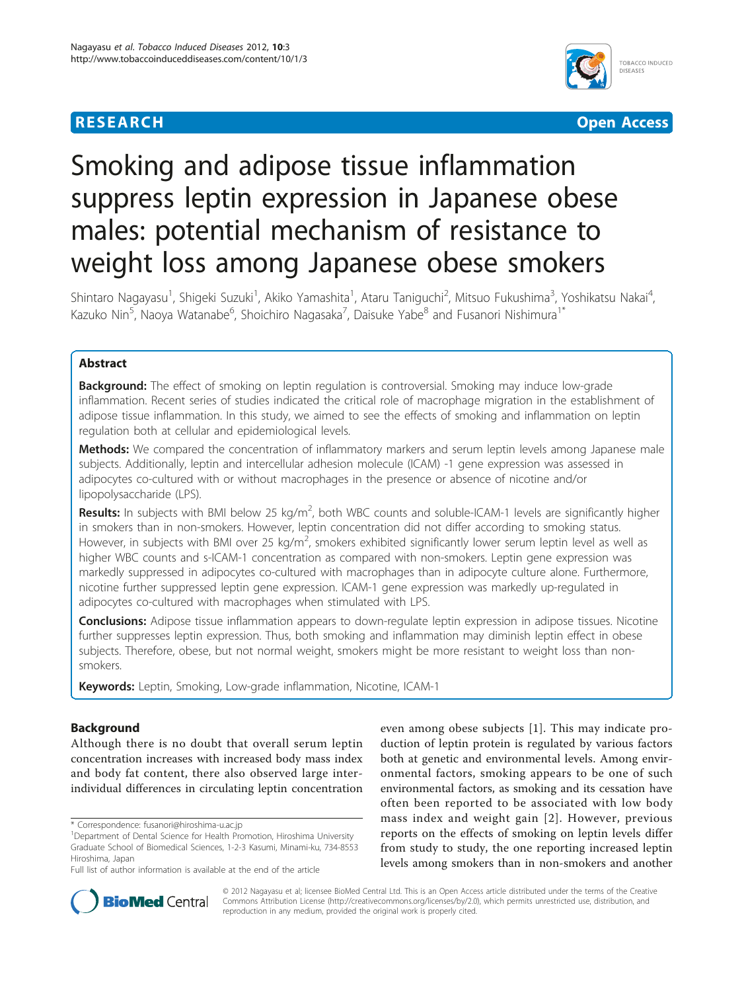# **RESEARCH CONTROL** CONTROL CONTROL CONTROL CONTROL CONTROL CONTROL CONTROL CONTROL CONTROL CONTROL CONTROL CONTROL



# Smoking and adipose tissue inflammation suppress leptin expression in Japanese obese males: potential mechanism of resistance to weight loss among Japanese obese smokers

Shintaro Nagayasu<sup>1</sup>, Shigeki Suzuki<sup>1</sup>, Akiko Yamashita<sup>1</sup>, Ataru Taniguchi<sup>2</sup>, Mitsuo Fukushima<sup>3</sup>, Yoshikatsu Nakai<sup>4</sup> , Kazuko Nin<sup>5</sup>, Naoya Watanabe<sup>6</sup>, Shoichiro Nagasaka<sup>7</sup>, Daisuke Yabe<sup>8</sup> and Fusanori Nishimura<sup>1\*</sup>

# Abstract

**Background:** The effect of smoking on leptin regulation is controversial. Smoking may induce low-grade inflammation. Recent series of studies indicated the critical role of macrophage migration in the establishment of adipose tissue inflammation. In this study, we aimed to see the effects of smoking and inflammation on leptin regulation both at cellular and epidemiological levels.

Methods: We compared the concentration of inflammatory markers and serum leptin levels among Japanese male subjects. Additionally, leptin and intercellular adhesion molecule (ICAM) -1 gene expression was assessed in adipocytes co-cultured with or without macrophages in the presence or absence of nicotine and/or lipopolysaccharide (LPS).

Results: In subjects with BMI below 25 kg/m<sup>2</sup>, both WBC counts and soluble-ICAM-1 levels are significantly higher in smokers than in non-smokers. However, leptin concentration did not differ according to smoking status. However, in subjects with BMI over 25 kg/m<sup>2</sup>, smokers exhibited significantly lower serum leptin level as well as higher WBC counts and s-ICAM-1 concentration as compared with non-smokers. Leptin gene expression was markedly suppressed in adipocytes co-cultured with macrophages than in adipocyte culture alone. Furthermore, nicotine further suppressed leptin gene expression. ICAM-1 gene expression was markedly up-regulated in adipocytes co-cultured with macrophages when stimulated with LPS.

**Conclusions:** Adipose tissue inflammation appears to down-regulate leptin expression in adipose tissues. Nicotine further suppresses leptin expression. Thus, both smoking and inflammation may diminish leptin effect in obese subjects. Therefore, obese, but not normal weight, smokers might be more resistant to weight loss than nonsmokers.

Keywords: Leptin, Smoking, Low-grade inflammation, Nicotine, ICAM-1

# Background

Although there is no doubt that overall serum leptin concentration increases with increased body mass index and body fat content, there also observed large interindividual differences in circulating leptin concentration

\* Correspondence: [fusanori@hiroshima-u.ac.jp](mailto:fusanori@hiroshima-u.ac.jp)

even among obese subjects [[1\]](#page-5-0). This may indicate production of leptin protein is regulated by various factors both at genetic and environmental levels. Among environmental factors, smoking appears to be one of such environmental factors, as smoking and its cessation have often been reported to be associated with low body mass index and weight gain [[2\]](#page-5-0). However, previous reports on the effects of smoking on leptin levels differ from study to study, the one reporting increased leptin levels among smokers than in non-smokers and another



© 2012 Nagayasu et al; licensee BioMed Central Ltd. This is an Open Access article distributed under the terms of the Creative Commons Attribution License [\(http://creativecommons.org/licenses/by/2.0](http://creativecommons.org/licenses/by/2.0)), which permits unrestricted use, distribution, and reproduction in any medium, provided the original work is properly cited.

<sup>&</sup>lt;sup>1</sup>Department of Dental Science for Health Promotion, Hiroshima University Graduate School of Biomedical Sciences, 1-2-3 Kasumi, Minami-ku, 734-8553 Hiroshima, Japan

Full list of author information is available at the end of the article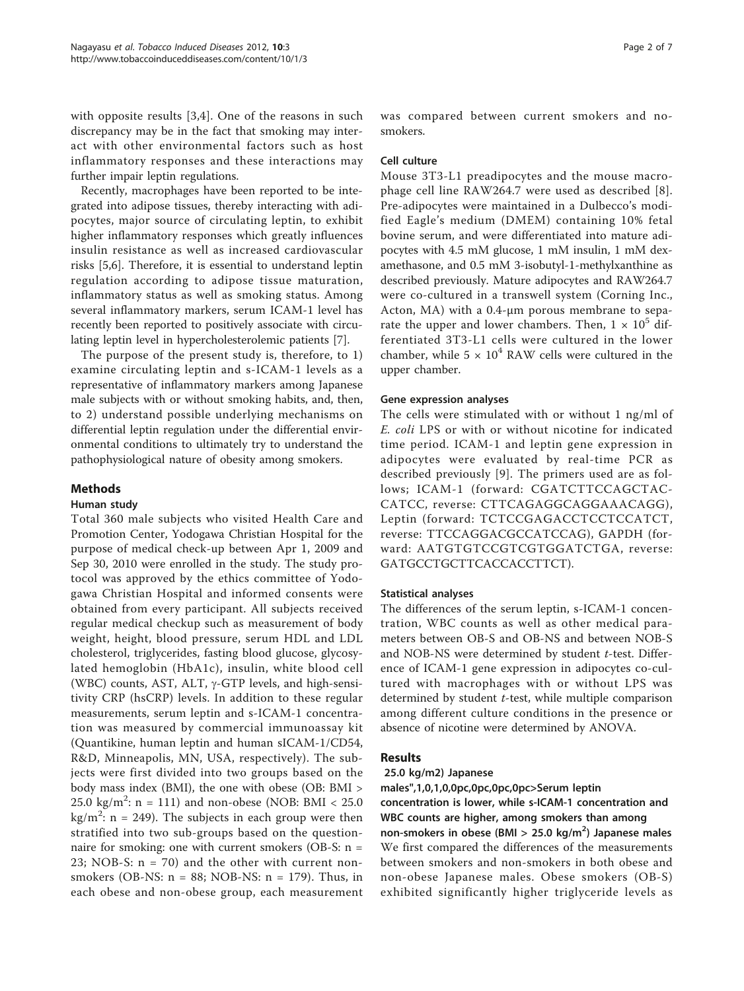with opposite results [[3,4](#page-5-0)]. One of the reasons in such discrepancy may be in the fact that smoking may interact with other environmental factors such as host inflammatory responses and these interactions may further impair leptin regulations.

Recently, macrophages have been reported to be integrated into adipose tissues, thereby interacting with adipocytes, major source of circulating leptin, to exhibit higher inflammatory responses which greatly influences insulin resistance as well as increased cardiovascular risks [[5,6](#page-5-0)]. Therefore, it is essential to understand leptin regulation according to adipose tissue maturation, inflammatory status as well as smoking status. Among several inflammatory markers, serum ICAM-1 level has recently been reported to positively associate with circulating leptin level in hypercholesterolemic patients [[7\]](#page-5-0).

The purpose of the present study is, therefore, to 1) examine circulating leptin and s-ICAM-1 levels as a representative of inflammatory markers among Japanese male subjects with or without smoking habits, and, then, to 2) understand possible underlying mechanisms on differential leptin regulation under the differential environmental conditions to ultimately try to understand the pathophysiological nature of obesity among smokers.

# Methods

# Human study

Total 360 male subjects who visited Health Care and Promotion Center, Yodogawa Christian Hospital for the purpose of medical check-up between Apr 1, 2009 and Sep 30, 2010 were enrolled in the study. The study protocol was approved by the ethics committee of Yodogawa Christian Hospital and informed consents were obtained from every participant. All subjects received regular medical checkup such as measurement of body weight, height, blood pressure, serum HDL and LDL cholesterol, triglycerides, fasting blood glucose, glycosylated hemoglobin (HbA1c), insulin, white blood cell (WBC) counts, AST, ALT,  $\gamma$ -GTP levels, and high-sensitivity CRP (hsCRP) levels. In addition to these regular measurements, serum leptin and s-ICAM-1 concentration was measured by commercial immunoassay kit (Quantikine, human leptin and human sICAM-1/CD54, R&D, Minneapolis, MN, USA, respectively). The subjects were first divided into two groups based on the body mass index (BMI), the one with obese (OB: BMI >  $25.0 \text{ kg/m}^2$ : n = 111) and non-obese (NOB: BMI < 25.0 kg/m<sup>2</sup>: n = 249). The subjects in each group were then stratified into two sub-groups based on the questionnaire for smoking: one with current smokers (OB-S: n = 23; NOB-S: n = 70) and the other with current nonsmokers (OB-NS:  $n = 88$ ; NOB-NS:  $n = 179$ ). Thus, in each obese and non-obese group, each measurement

was compared between current smokers and nosmokers.

## Cell culture

Mouse 3T3-L1 preadipocytes and the mouse macrophage cell line RAW264.7 were used as described [[8](#page-5-0)]. Pre-adipocytes were maintained in a Dulbecco's modified Eagle's medium (DMEM) containing 10% fetal bovine serum, and were differentiated into mature adipocytes with 4.5 mM glucose, 1 mM insulin, 1 mM dexamethasone, and 0.5 mM 3-isobutyl-1-methylxanthine as described previously. Mature adipocytes and RAW264.7 were co-cultured in a transwell system (Corning Inc., Acton, MA) with a 0.4-μm porous membrane to separate the upper and lower chambers. Then,  $1 \times 10^5$  differentiated 3T3-L1 cells were cultured in the lower chamber, while  $5 \times 10^4$  RAW cells were cultured in the upper chamber.

## Gene expression analyses

The cells were stimulated with or without 1 ng/ml of E. coli LPS or with or without nicotine for indicated time period. ICAM-1 and leptin gene expression in adipocytes were evaluated by real-time PCR as described previously [[9](#page-5-0)]. The primers used are as follows; ICAM-1 (forward: CGATCTTCCAGCTAC-CATCC, reverse: CTTCAGAGGCAGGAAACAGG), Leptin (forward: TCTCCGAGACCTCCTCCATCT, reverse: TTCCAGGACGCCATCCAG), GAPDH (forward: AATGTGTCCGTCGTGGATCTGA, reverse: GATGCCTGCTTCACCACCTTCT).

# Statistical analyses

The differences of the serum leptin, s-ICAM-1 concentration, WBC counts as well as other medical parameters between OB-S and OB-NS and between NOB-S and NOB-NS were determined by student t-test. Difference of ICAM-1 gene expression in adipocytes co-cultured with macrophages with or without LPS was determined by student *t*-test, while multiple comparison among different culture conditions in the presence or absence of nicotine were determined by ANOVA.

# Results

## 25.0 kg/m2) Japanese

males",1,0,1,0,0pc,0pc,0pc,0pc>Serum leptin concentration is lower, while s-ICAM-1 concentration and

WBC counts are higher, among smokers than among

non-smokers in obese (BMI > 25.0 kg/m<sup>2</sup>) Japanese males We first compared the differences of the measurements between smokers and non-smokers in both obese and non-obese Japanese males. Obese smokers (OB-S) exhibited significantly higher triglyceride levels as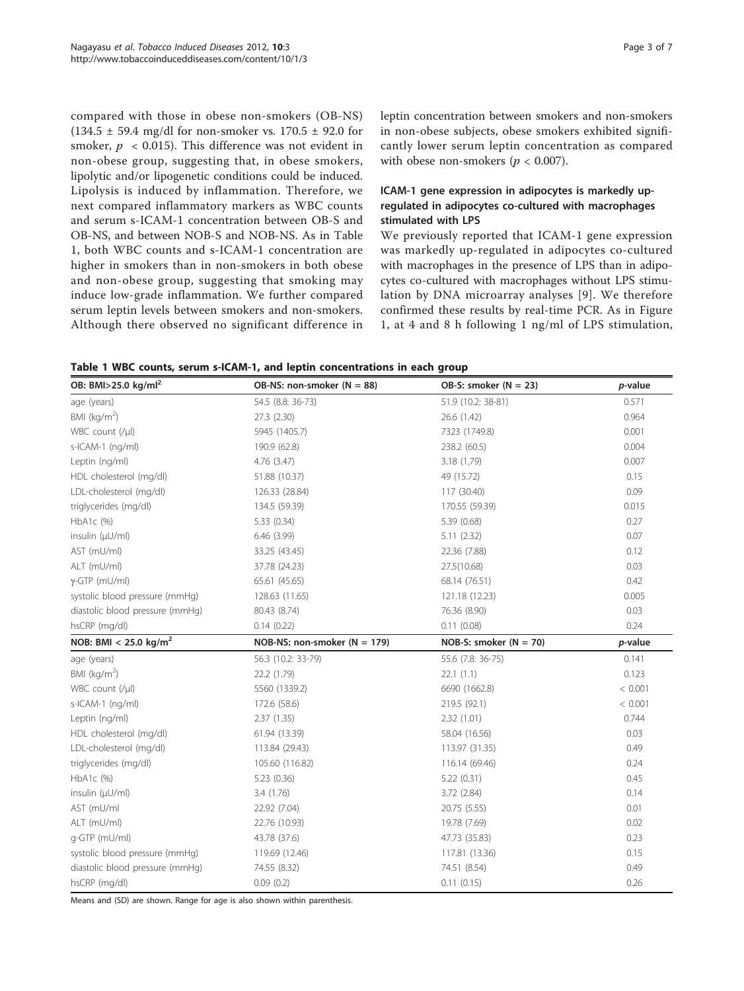compared with those in obese non-smokers (OB-NS)  $(134.5 \pm 59.4 \text{ mg/dl} \text{ for non-smoker vs. } 170.5 \pm 92.0 \text{ for }$ smoker,  $p \leq 0.015$ ). This difference was not evident in non-obese group, suggesting that, in obese smokers, lipolytic and/or lipogenetic conditions could be induced. Lipolysis is induced by inflammation. Therefore, we next compared inflammatory markers as WBC counts and serum s-ICAM-1 concentration between OB-S and OB-NS, and between NOB-S and NOB-NS. As in Table 1, both WBC counts and s-ICAM-1 concentration are higher in smokers than in non-smokers in both obese and non-obese group, suggesting that smoking may induce low-grade inflammation. We further compared serum leptin levels between smokers and non-smokers. Although there observed no significant difference in leptin concentration between smokers and non-smokers in non-obese subjects, obese smokers exhibited significantly lower serum leptin concentration as compared with obese non-smokers ( $p < 0.007$ ).

# ICAM-1 gene expression in adipocytes is markedly upregulated in adipocytes co-cultured with macrophages stimulated with LPS

We previously reported that ICAM-1 gene expression was markedly up-regulated in adipocytes co-cultured with macrophages in the presence of LPS than in adipocytes co-cultured with macrophages without LPS stimulation by DNA microarray analyses [[9](#page-5-0)]. We therefore confirmed these results by real-time PCR. As in Figure [1,](#page-3-0) at 4 and 8 h following 1 ng/ml of LPS stimulation,

|  |  |  |  |  |  |  | Table 1 WBC counts, serum s-ICAM-1, and leptin concentrations in each group |  |  |  |
|--|--|--|--|--|--|--|-----------------------------------------------------------------------------|--|--|--|
|--|--|--|--|--|--|--|-----------------------------------------------------------------------------|--|--|--|

| OB: BMI $>$ 25.0 kg/ml <sup>2</sup> | OB-NS: non-smoker ( $N = 88$ )   | OB-S: smoker $(N = 23)$  | p-value |
|-------------------------------------|----------------------------------|--------------------------|---------|
| age (years)                         | 54.5 (8.8: 36-73)                | 51.9 (10.2: 38-81)       | 0.571   |
| BMI $(kq/m2)$                       | 27.3 (2.30)                      | 26.6 (1.42)              | 0.964   |
| WBC count (/µl)                     | 5945 (1405.7)                    | 7323 (1749.8)            | 0.001   |
| s-ICAM-1 (ng/ml)                    | 190.9 (62.8)                     | 238.2 (60.5)             | 0.004   |
| Leptin (ng/ml)                      | 4.76(3.47)                       | 3.18 (1,79)              | 0.007   |
| HDL cholesterol (mg/dl)             | 51.88 (10.37)                    | 49 (15.72)               | 0.15    |
| LDL-cholesterol (mg/dl)             | 126.33 (28.84)                   | 117 (30.40)              | 0.09    |
| triglycerides (mg/dl)               | 134.5 (59.39)                    | 170.55 (59.39)           | 0.015   |
| HbA1c (%)                           | 5.33 (0.34)                      | 5.39 (0.68)              | 0.27    |
| insulin (µU/ml)                     | 6.46(3.99)                       | 5.11(2.32)               | 0.07    |
| AST (mU/ml)                         | 33.25 (43.45)                    | 22.36 (7.88)             | 0.12    |
| ALT (mU/ml)                         | 37.78 (24.23)                    | 27.5(10.68)              | 0.03    |
| $\gamma$ -GTP (mU/ml)               | 65.61 (45.65)                    | 68.14 (76.51)            | 0.42    |
| systolic blood pressure (mmHg)      | 128.63 (11.65)                   | 121.18 (12.23)           | 0.005   |
| diastolic blood pressure (mmHg)     | 80.43 (8.74)                     | 76.36 (8.90)             | 0.03    |
| hsCRP (mg/dl)                       | 0.14(0.22)                       | 0.11(0.08)               | 0.24    |
| NOB: BMI < 25.0 kg/m <sup>2</sup>   | NOB-NS: non-smoker ( $N = 179$ ) | NOB-S: smoker $(N = 70)$ | p-value |
| age (years)                         | 56.3 (10.2: 33-79)               | 55.6 (7.8: 36-75)        | 0.141   |
| BMI ( $kg/m2$ )                     | 22.2 (1.79)                      | 22.1(1.1)                | 0.123   |
| WBC count $(y u)$                   | 5560 (1339.2)                    | 6690 (1662.8)            | < 0.001 |
| s-ICAM-1 (ng/ml)                    | 172.6 (58.6)                     | 219.5 (92.1)             | < 0.001 |
| Leptin (ng/ml)                      | 2.37(1.35)                       | 2.32(1.01)               | 0.744   |
| HDL cholesterol (mg/dl)             | 61.94 (13.39)                    | 58.04 (16.56)            | 0.03    |
| LDL-cholesterol (mg/dl)             | 113.84 (29.43)                   | 113.97 (31.35)           | 0.49    |
| triglycerides (mg/dl)               | 105.60 (116.82)                  | 116.14 (69.46)           | 0.24    |
| HbA1c (%)                           | 5.23(0.36)                       | 5.22(0.31)               | 0.45    |
| insulin $(\mu U/m)$                 | 3.4(1.76)                        | 3.72(2.84)               | 0.14    |
| AST (mU/ml                          | 22.92 (7.04)                     | 20.75 (5.55)             | 0.01    |
| ALT (mU/ml)                         | 22.76 (10.93)                    | 19.78 (7.69)             | 0.02    |
| g-GTP (mU/ml)                       | 43.78 (37.6)                     | 47.73 (35.83)            | 0.23    |
| systolic blood pressure (mmHg)      | 119.69 (12.46)                   | 117.81 (13.36)           | 0.15    |
| diastolic blood pressure (mmHg)     | 74.55 (8.32)                     | 74.51 (8.54)             | 0.49    |
|                                     |                                  |                          |         |

Means and (SD) are shown. Range for age is also shown within parenthesis.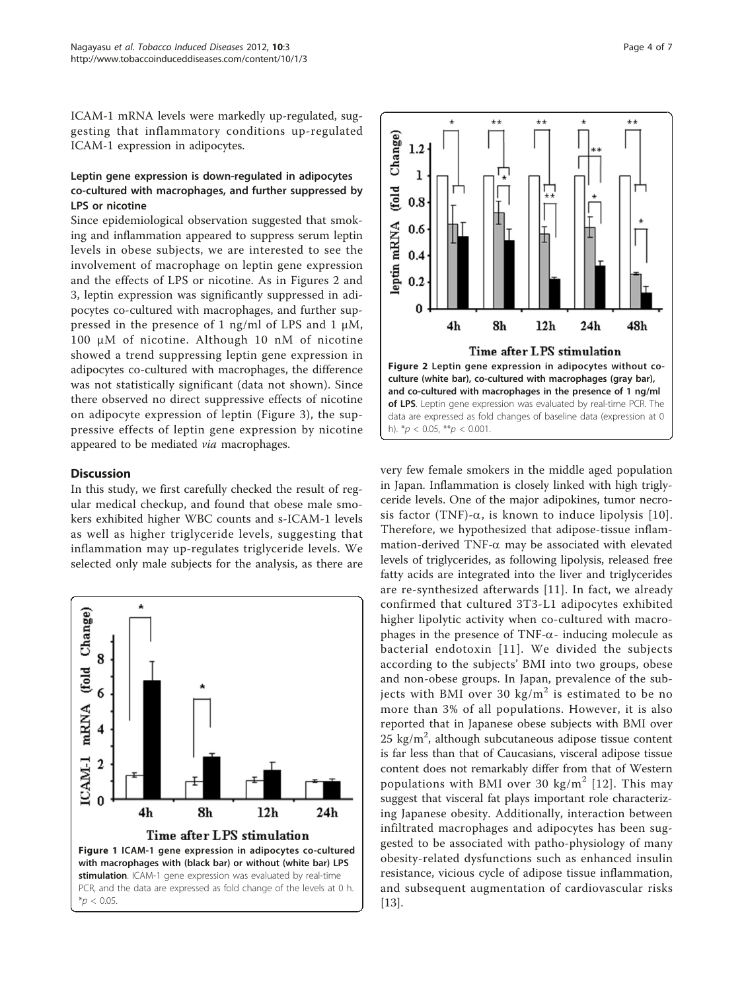<span id="page-3-0"></span>ICAM-1 mRNA levels were markedly up-regulated, suggesting that inflammatory conditions up-regulated ICAM-1 expression in adipocytes.

# Leptin gene expression is down-regulated in adipocytes co-cultured with macrophages, and further suppressed by LPS or nicotine

Since epidemiological observation suggested that smoking and inflammation appeared to suppress serum leptin levels in obese subjects, we are interested to see the involvement of macrophage on leptin gene expression and the effects of LPS or nicotine. As in Figures 2 and [3,](#page-4-0) leptin expression was significantly suppressed in adipocytes co-cultured with macrophages, and further suppressed in the presence of 1 ng/ml of LPS and 1  $\mu$ M, 100 μM of nicotine. Although 10 nM of nicotine showed a trend suppressing leptin gene expression in adipocytes co-cultured with macrophages, the difference was not statistically significant (data not shown). Since there observed no direct suppressive effects of nicotine on adipocyte expression of leptin (Figure [3](#page-4-0)), the suppressive effects of leptin gene expression by nicotine appeared to be mediated via macrophages.

# **Discussion**

In this study, we first carefully checked the result of regular medical checkup, and found that obese male smokers exhibited higher WBC counts and s-ICAM-1 levels as well as higher triglyceride levels, suggesting that inflammation may up-regulates triglyceride levels. We selected only male subjects for the analysis, as there are





very few female smokers in the middle aged population in Japan. Inflammation is closely linked with high triglyceride levels. One of the major adipokines, tumor necrosis factor (TNF)- $\alpha$ , is known to induce lipolysis [[10\]](#page-5-0). Therefore, we hypothesized that adipose-tissue inflammation-derived TNF- $\alpha$  may be associated with elevated levels of triglycerides, as following lipolysis, released free fatty acids are integrated into the liver and triglycerides are re-synthesized afterwards [[11](#page-5-0)]. In fact, we already confirmed that cultured 3T3-L1 adipocytes exhibited higher lipolytic activity when co-cultured with macrophages in the presence of TNF- $\alpha$ - inducing molecule as bacterial endotoxin [[11\]](#page-5-0). We divided the subjects according to the subjects' BMI into two groups, obese and non-obese groups. In Japan, prevalence of the subjects with BMI over 30 kg/ $m^2$  is estimated to be no more than 3% of all populations. However, it is also reported that in Japanese obese subjects with BMI over  $25 \text{ kg/m}^2$ , although subcutaneous adipose tissue content is far less than that of Caucasians, visceral adipose tissue content does not remarkably differ from that of Western populations with BMI over 30 kg/ $m^2$  [[12\]](#page-5-0). This may suggest that visceral fat plays important role characterizing Japanese obesity. Additionally, interaction between infiltrated macrophages and adipocytes has been suggested to be associated with patho-physiology of many obesity-related dysfunctions such as enhanced insulin resistance, vicious cycle of adipose tissue inflammation, and subsequent augmentation of cardiovascular risks [[13\]](#page-5-0).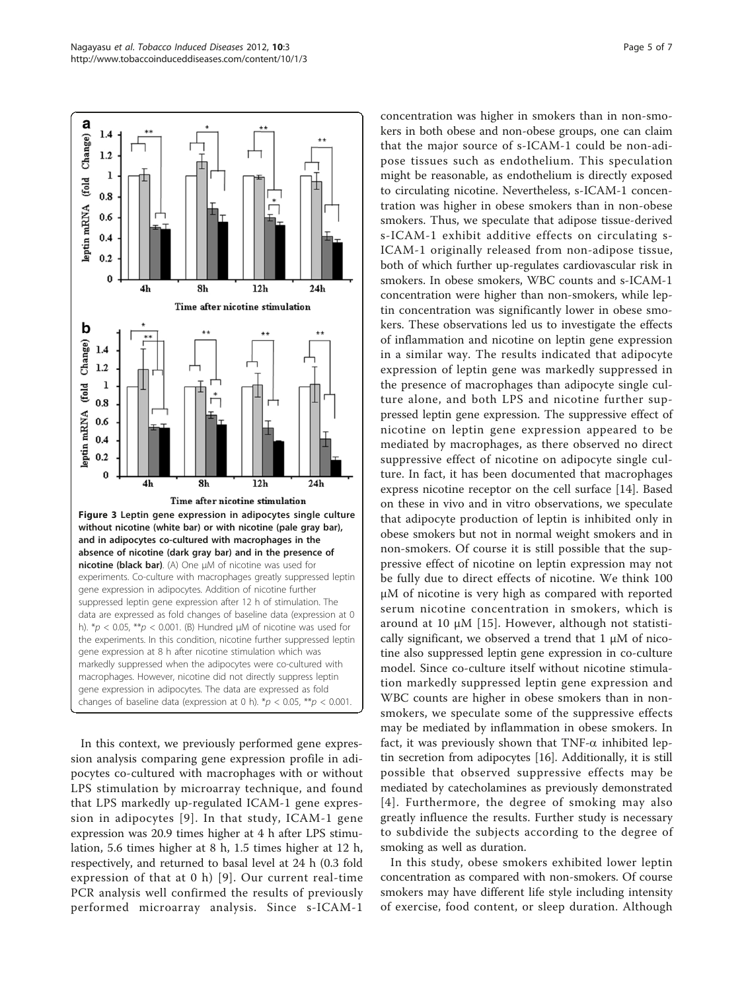<span id="page-4-0"></span>

In this context, we previously performed gene expression analysis comparing gene expression profile in adipocytes co-cultured with macrophages with or without LPS stimulation by microarray technique, and found that LPS markedly up-regulated ICAM-1 gene expression in adipocytes [[9\]](#page-5-0). In that study, ICAM-1 gene expression was 20.9 times higher at 4 h after LPS stimulation, 5.6 times higher at 8 h, 1.5 times higher at 12 h, respectively, and returned to basal level at 24 h (0.3 fold expression of that at 0 h) [[9](#page-5-0)]. Our current real-time PCR analysis well confirmed the results of previously performed microarray analysis. Since s-ICAM-1 concentration was higher in smokers than in non-smokers in both obese and non-obese groups, one can claim that the major source of s-ICAM-1 could be non-adipose tissues such as endothelium. This speculation might be reasonable, as endothelium is directly exposed to circulating nicotine. Nevertheless, s-ICAM-1 concentration was higher in obese smokers than in non-obese smokers. Thus, we speculate that adipose tissue-derived s-ICAM-1 exhibit additive effects on circulating s-ICAM-1 originally released from non-adipose tissue, both of which further up-regulates cardiovascular risk in smokers. In obese smokers, WBC counts and s-ICAM-1 concentration were higher than non-smokers, while leptin concentration was significantly lower in obese smokers. These observations led us to investigate the effects of inflammation and nicotine on leptin gene expression in a similar way. The results indicated that adipocyte expression of leptin gene was markedly suppressed in the presence of macrophages than adipocyte single culture alone, and both LPS and nicotine further suppressed leptin gene expression. The suppressive effect of nicotine on leptin gene expression appeared to be mediated by macrophages, as there observed no direct suppressive effect of nicotine on adipocyte single culture. In fact, it has been documented that macrophages express nicotine receptor on the cell surface [\[14](#page-5-0)]. Based on these in vivo and in vitro observations, we speculate that adipocyte production of leptin is inhibited only in obese smokers but not in normal weight smokers and in non-smokers. Of course it is still possible that the suppressive effect of nicotine on leptin expression may not be fully due to direct effects of nicotine. We think 100 μM of nicotine is very high as compared with reported serum nicotine concentration in smokers, which is around at 10  $\mu$ M [[15](#page-5-0)]. However, although not statistically significant, we observed a trend that 1 μM of nicotine also suppressed leptin gene expression in co-culture model. Since co-culture itself without nicotine stimulation markedly suppressed leptin gene expression and WBC counts are higher in obese smokers than in nonsmokers, we speculate some of the suppressive effects may be mediated by inflammation in obese smokers. In fact, it was previously shown that  $TNF-\alpha$  inhibited leptin secretion from adipocytes [\[16](#page-5-0)]. Additionally, it is still possible that observed suppressive effects may be mediated by catecholamines as previously demonstrated [[4\]](#page-5-0). Furthermore, the degree of smoking may also greatly influence the results. Further study is necessary to subdivide the subjects according to the degree of smoking as well as duration.

In this study, obese smokers exhibited lower leptin concentration as compared with non-smokers. Of course smokers may have different life style including intensity of exercise, food content, or sleep duration. Although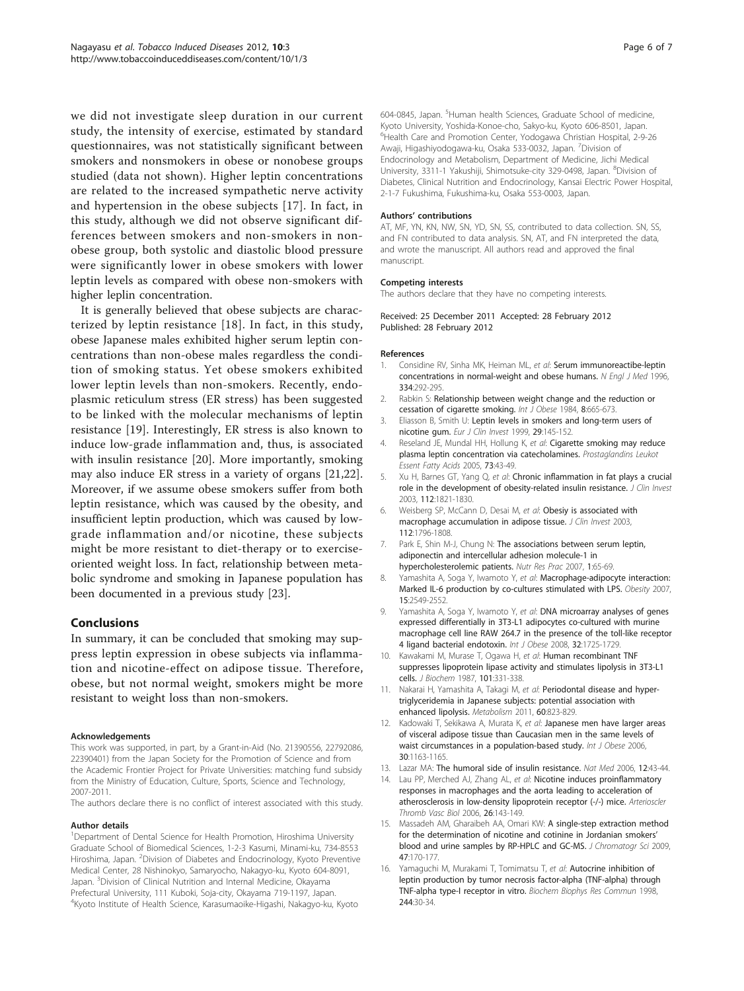<span id="page-5-0"></span>we did not investigate sleep duration in our current study, the intensity of exercise, estimated by standard questionnaires, was not statistically significant between smokers and nonsmokers in obese or nonobese groups studied (data not shown). Higher leptin concentrations are related to the increased sympathetic nerve activity and hypertension in the obese subjects [[17\]](#page-6-0). In fact, in this study, although we did not observe significant differences between smokers and non-smokers in nonobese group, both systolic and diastolic blood pressure were significantly lower in obese smokers with lower leptin levels as compared with obese non-smokers with higher leplin concentration.

It is generally believed that obese subjects are characterized by leptin resistance [\[18\]](#page-6-0). In fact, in this study, obese Japanese males exhibited higher serum leptin concentrations than non-obese males regardless the condition of smoking status. Yet obese smokers exhibited lower leptin levels than non-smokers. Recently, endoplasmic reticulum stress (ER stress) has been suggested to be linked with the molecular mechanisms of leptin resistance [[19\]](#page-6-0). Interestingly, ER stress is also known to induce low-grade inflammation and, thus, is associated with insulin resistance [[20\]](#page-6-0). More importantly, smoking may also induce ER stress in a variety of organs [\[21,22](#page-6-0)]. Moreover, if we assume obese smokers suffer from both leptin resistance, which was caused by the obesity, and insufficient leptin production, which was caused by lowgrade inflammation and/or nicotine, these subjects might be more resistant to diet-therapy or to exerciseoriented weight loss. In fact, relationship between metabolic syndrome and smoking in Japanese population has been documented in a previous study [[23](#page-6-0)].

## Conclusions

In summary, it can be concluded that smoking may suppress leptin expression in obese subjects via inflammation and nicotine-effect on adipose tissue. Therefore, obese, but not normal weight, smokers might be more resistant to weight loss than non-smokers.

#### Acknowledgements

This work was supported, in part, by a Grant-in-Aid (No. 21390556, 22792086, 22390401) from the Japan Society for the Promotion of Science and from the Academic Frontier Project for Private Universities: matching fund subsidy from the Ministry of Education, Culture, Sports, Science and Technology, 2007-2011.

The authors declare there is no conflict of interest associated with this study.

#### Author details

<sup>1</sup>Department of Dental Science for Health Promotion, Hiroshima University Graduate School of Biomedical Sciences, 1-2-3 Kasumi, Minami-ku, 734-8553 Hiroshima, Japan. <sup>2</sup>Division of Diabetes and Endocrinology, Kyoto Preventive Medical Center, 28 Nishinokyo, Samaryocho, Nakagyo-ku, Kyoto 604-8091, Japan. <sup>3</sup>Division of Clinical Nutrition and Internal Medicine, Okayama Prefectural University, 111 Kuboki, Soja-city, Okayama 719-1197, Japan. 4 Kyoto Institute of Health Science, Karasumaoike-Higashi, Nakagyo-ku, Kyoto

604-0845, Japan. <sup>5</sup>Human health Sciences, Graduate School of medicine Kyoto University, Yoshida-Konoe-cho, Sakyo-ku, Kyoto 606-8501, Japan. 6 Health Care and Promotion Center, Yodogawa Christian Hospital, 2-9-26 Awaji, Higashiyodogawa-ku, Osaka 533-0032, Japan. <sup>7</sup>Division of Endocrinology and Metabolism, Department of Medicine, Jichi Medical University, 3311-1 Yakushiji, Shimotsuke-city 329-0498, Japan. <sup>8</sup>Division of Diabetes, Clinical Nutrition and Endocrinology, Kansai Electric Power Hospital, 2-1-7 Fukushima, Fukushima-ku, Osaka 553-0003, Japan.

#### Authors' contributions

AT, MF, YN, KN, NW, SN, YD, SN, SS, contributed to data collection. SN, SS, and FN contributed to data analysis. SN, AT, and FN interpreted the data, and wrote the manuscript. All authors read and approved the final manuscript.

#### Competing interests

The authors declare that they have no competing interests.

Received: 25 December 2011 Accepted: 28 February 2012 Published: 28 February 2012

#### References

- 1. Considine RV, Sinha MK, Heiman ML, et al: [Serum immunoreactibe-leptin](http://www.ncbi.nlm.nih.gov/pubmed/8532024?dopt=Abstract) [concentrations in normal-weight and obese humans.](http://www.ncbi.nlm.nih.gov/pubmed/8532024?dopt=Abstract) N Engl J Med 1996, 334:292-295.
- 2. Rabkin S: Relationship between weight change and the reduction or cessation of cigarette smoking. Int J Obese 1984, 8:665-673.
- 3. Eliasson B, Smith U: [Leptin levels in smokers and long-term users of](http://www.ncbi.nlm.nih.gov/pubmed/10093001?dopt=Abstract) [nicotine gum.](http://www.ncbi.nlm.nih.gov/pubmed/10093001?dopt=Abstract) Eur J Clin Invest 1999, 29:145-152.
- 4. Reseland JE, Mundal HH, Hollung K, et al: [Cigarette smoking may reduce](http://www.ncbi.nlm.nih.gov/pubmed/15964536?dopt=Abstract) [plasma leptin concentration via catecholamines.](http://www.ncbi.nlm.nih.gov/pubmed/15964536?dopt=Abstract) Prostaglandins Leukot Essent Fatty Acids 2005, 73:43-49.
- 5. Xu H, Barnes GT, Yang Q, et al: [Chronic inflammation in fat plays a crucial](http://www.ncbi.nlm.nih.gov/pubmed/14679177?dopt=Abstract) [role in the development of obesity-related insulin resistance.](http://www.ncbi.nlm.nih.gov/pubmed/14679177?dopt=Abstract) J Clin Invest 2003, 112:1821-1830.
- 6. Weisberg SP, McCann D, Desai M, et al: [Obesiy is associated with](http://www.ncbi.nlm.nih.gov/pubmed/14679176?dopt=Abstract) [macrophage accumulation in adipose tissue.](http://www.ncbi.nlm.nih.gov/pubmed/14679176?dopt=Abstract) J Clin Invest 2003, 112:1796-1808.
- 7. Park E, Shin M-J, Chung N: The associations between serum leptin, adiponectin and intercellular adhesion molecule-1 in hypercholesterolemic patients. Nutr Res Prac 2007, 1:65-69.
- 8. Yamashita A, Soga Y, Iwamoto Y, et al: [Macrophage-adipocyte interaction:](http://www.ncbi.nlm.nih.gov/pubmed/18070744?dopt=Abstract) [Marked IL-6 production by co-cultures stimulated with LPS.](http://www.ncbi.nlm.nih.gov/pubmed/18070744?dopt=Abstract) Obesity 2007, 15:2549-2552.
- 9. Yamashita A, Soga Y, Iwamoto Y, et al: DNA microarray analyses of genes expressed differentially in 3T3-L1 adipocytes co-cultured with murine macrophage cell line RAW 264.7 in the presence of the toll-like receptor 4 ligand bacterial endotoxin. Int J Obese 2008, 32:1725-1729.
- 10. Kawakami M, Murase T, Ogawa H, et al: [Human recombinant TNF](http://www.ncbi.nlm.nih.gov/pubmed/3495531?dopt=Abstract) [suppresses lipoprotein lipase activity and stimulates lipolysis in 3T3-L1](http://www.ncbi.nlm.nih.gov/pubmed/3495531?dopt=Abstract) [cells.](http://www.ncbi.nlm.nih.gov/pubmed/3495531?dopt=Abstract) J Biochem 1987, 101:331-338.
- 11. Nakarai H, Yamashita A, Takagi M, et al: [Periodontal disease and hyper](http://www.ncbi.nlm.nih.gov/pubmed/20817211?dopt=Abstract)[triglyceridemia in Japanese subjects: potential association with](http://www.ncbi.nlm.nih.gov/pubmed/20817211?dopt=Abstract) [enhanced lipolysis.](http://www.ncbi.nlm.nih.gov/pubmed/20817211?dopt=Abstract) Metabolism 2011, 60:823-829.
- 12. Kadowaki T, Sekikawa A, Murata K, et al: Japanese men have larger areas of visceral adipose tissue than Caucasian men in the same levels of waist circumstances in a population-based study. Int J Obese 2006, 30:1163-1165.
- 13. Lazar MA: [The humoral side of insulin resistance.](http://www.ncbi.nlm.nih.gov/pubmed/16397562?dopt=Abstract) Nat Med 2006, 12:43-44.
- 14. Lau PP, Merched AJ, Zhang AL, et al: [Nicotine induces proinflammatory](http://www.ncbi.nlm.nih.gov/pubmed/16254210?dopt=Abstract) [responses in macrophages and the aorta leading to acceleration of](http://www.ncbi.nlm.nih.gov/pubmed/16254210?dopt=Abstract) [atherosclerosis in low-density lipoprotein receptor \(-/-\) mice.](http://www.ncbi.nlm.nih.gov/pubmed/16254210?dopt=Abstract) Arterioscler Thromb Vasc Biol 2006, 26:143-149.
- 15. Massadeh AM, Gharaibeh AA, Omari KW: [A single-step extraction method](http://www.ncbi.nlm.nih.gov/pubmed/19222926?dopt=Abstract) [for the determination of nicotine and cotinine in Jordanian smokers](http://www.ncbi.nlm.nih.gov/pubmed/19222926?dopt=Abstract)' [blood and urine samples by RP-HPLC and GC-MS.](http://www.ncbi.nlm.nih.gov/pubmed/19222926?dopt=Abstract) J Chromatogr Sci 2009, 47:170-177.
- 16. Yamaguchi M, Murakami T, Tomimatsu T, et al: [Autocrine inhibition of](http://www.ncbi.nlm.nih.gov/pubmed/9514868?dopt=Abstract) [leptin production by tumor necrosis factor-alpha \(TNF-alpha\) through](http://www.ncbi.nlm.nih.gov/pubmed/9514868?dopt=Abstract) [TNF-alpha type-I receptor in vitro.](http://www.ncbi.nlm.nih.gov/pubmed/9514868?dopt=Abstract) Biochem Biophys Res Commun 1998, 244:30-34.